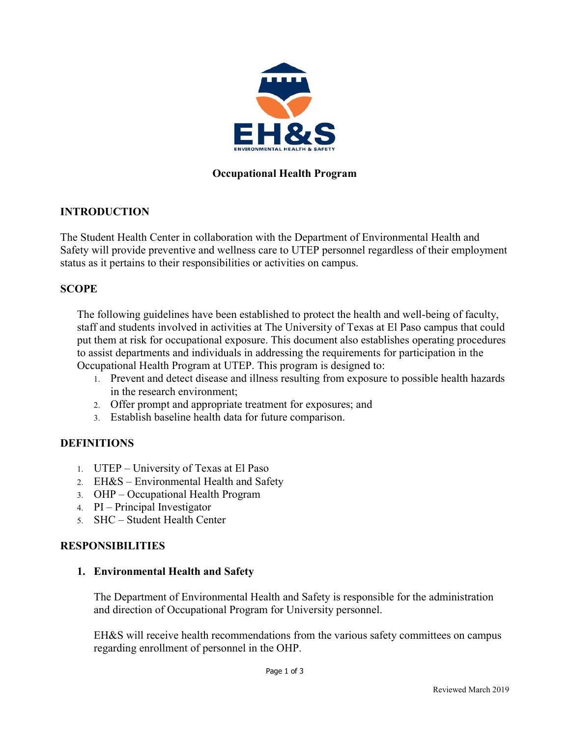

# Occupational Health Program

## INTRODUCTION

The Student Health Center in collaboration with the Department of Environmental Health and Safety will provide preventive and wellness care to UTEP personnel regardless of their employment status as it pertains to their responsibilities or activities on campus.

## **SCOPE**

The following guidelines have been established to protect the health and well-being of faculty, staff and students involved in activities at The University of Texas at El Paso campus that could put them at risk for occupational exposure. This document also establishes operating procedures to assist departments and individuals in addressing the requirements for participation in the Occupational Health Program at UTEP. This program is designed to:

- 1. Prevent and detect disease and illness resulting from exposure to possible health hazards in the research environment;
- 2. Offer prompt and appropriate treatment for exposures; and
- 3. Establish baseline health data for future comparison.

### DEFINITIONS

- 1. UTEP University of Texas at El Paso
- 2. EH&S Environmental Health and Safety
- 3. OHP Occupational Health Program
- 4. PI Principal Investigator
- 5. SHC Student Health Center

### RESPONSIBILITIES

### 1. Environmental Health and Safety

The Department of Environmental Health and Safety is responsible for the administration and direction of Occupational Program for University personnel.

EH&S will receive health recommendations from the various safety committees on campus regarding enrollment of personnel in the OHP.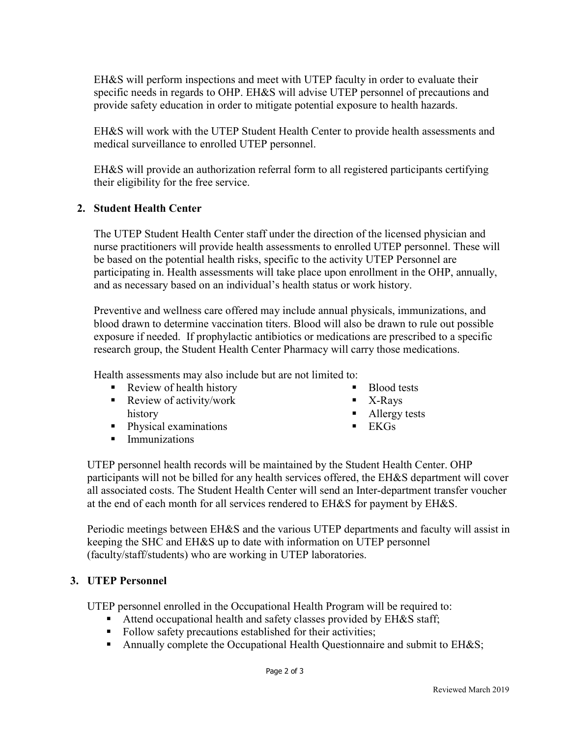EH&S will perform inspections and meet with UTEP faculty in order to evaluate their specific needs in regards to OHP. EH&S will advise UTEP personnel of precautions and provide safety education in order to mitigate potential exposure to health hazards.

EH&S will work with the UTEP Student Health Center to provide health assessments and medical surveillance to enrolled UTEP personnel.

EH&S will provide an authorization referral form to all registered participants certifying their eligibility for the free service.

### 2. Student Health Center

The UTEP Student Health Center staff under the direction of the licensed physician and nurse practitioners will provide health assessments to enrolled UTEP personnel. These will be based on the potential health risks, specific to the activity UTEP Personnel are participating in. Health assessments will take place upon enrollment in the OHP, annually, and as necessary based on an individual's health status or work history.

Preventive and wellness care offered may include annual physicals, immunizations, and blood drawn to determine vaccination titers. Blood will also be drawn to rule out possible exposure if needed. If prophylactic antibiotics or medications are prescribed to a specific research group, the Student Health Center Pharmacy will carry those medications.

Health assessments may also include but are not limited to:

- Review of health history
- Review of activity/work history
- Physical examinations
- Immunizations
- Blood tests
- $\blacksquare$  X-Rays
- Allergy tests
- $\blacksquare$  EKGs

UTEP personnel health records will be maintained by the Student Health Center. OHP participants will not be billed for any health services offered, the EH&S department will cover all associated costs. The Student Health Center will send an Inter-department transfer voucher at the end of each month for all services rendered to EH&S for payment by EH&S.

Periodic meetings between EH&S and the various UTEP departments and faculty will assist in keeping the SHC and EH&S up to date with information on UTEP personnel (faculty/staff/students) who are working in UTEP laboratories.

### 3. UTEP Personnel

UTEP personnel enrolled in the Occupational Health Program will be required to:

- Attend occupational health and safety classes provided by EH&S staff;
- Follow safety precautions established for their activities;
- Annually complete the Occupational Health Questionnaire and submit to EH&S;